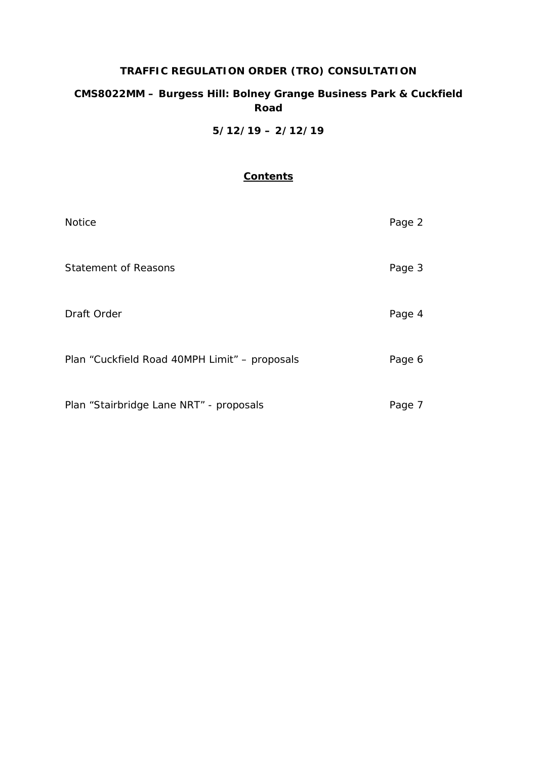# **TRAFFIC REGULATION ORDER (TRO) CONSULTATION**

## **CMS8022MM – Burgess Hill: Bolney Grange Business Park & Cuckfield Road**

**5/12/19 – 2/12/19**

## **Contents**

| <b>Notice</b>                                 | Page 2 |
|-----------------------------------------------|--------|
| <b>Statement of Reasons</b>                   | Page 3 |
| Draft Order                                   | Page 4 |
| Plan "Cuckfield Road 40MPH Limit" - proposals | Page 6 |
| Plan "Stairbridge Lane NRT" - proposals       | Page 7 |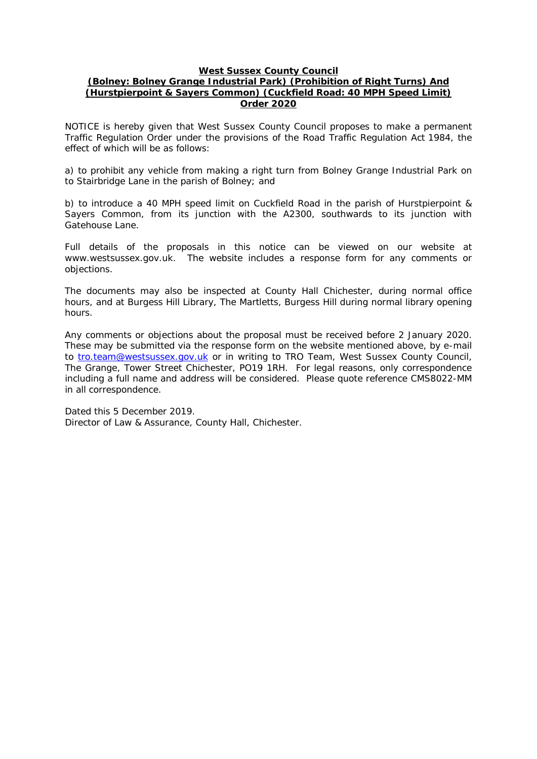### **West Sussex County Council**

## **(Bolney: Bolney Grange Industrial Park) (Prohibition of Right Turns) And (Hurstpierpoint & Sayers Common) (Cuckfield Road: 40 MPH Speed Limit) Order 2020**

NOTICE is hereby given that West Sussex County Council proposes to make a permanent Traffic Regulation Order under the provisions of the Road Traffic Regulation Act 1984, the effect of which will be as follows:

a) to prohibit any vehicle from making a right turn from Bolney Grange Industrial Park on to Stairbridge Lane in the parish of Bolney; and

b) to introduce a 40 MPH speed limit on Cuckfield Road in the parish of Hurstpierpoint & Sayers Common, from its junction with the A2300, southwards to its junction with Gatehouse Lane.

Full details of the proposals in this notice can be viewed on our website at www.westsussex.gov.uk. The website includes a response form for any comments or objections.

The documents may also be inspected at County Hall Chichester, during normal office hours, and at Burgess Hill Library, The Martletts, Burgess Hill during normal library opening hours.

Any comments or objections about the proposal must be received before 2 January 2020. These may be submitted via the response form on the website mentioned above, by e-mail to [tro.team@westsussex.gov.uk](mailto:tro.team@westsussex.gov.uk) or in writing to TRO Team, West Sussex County Council, The Grange, Tower Street Chichester, PO19 1RH. For legal reasons, only correspondence including a full name and address will be considered. Please quote reference CMS8022-MM in all correspondence.

Dated this 5 December 2019. Director of Law & Assurance, County Hall, Chichester.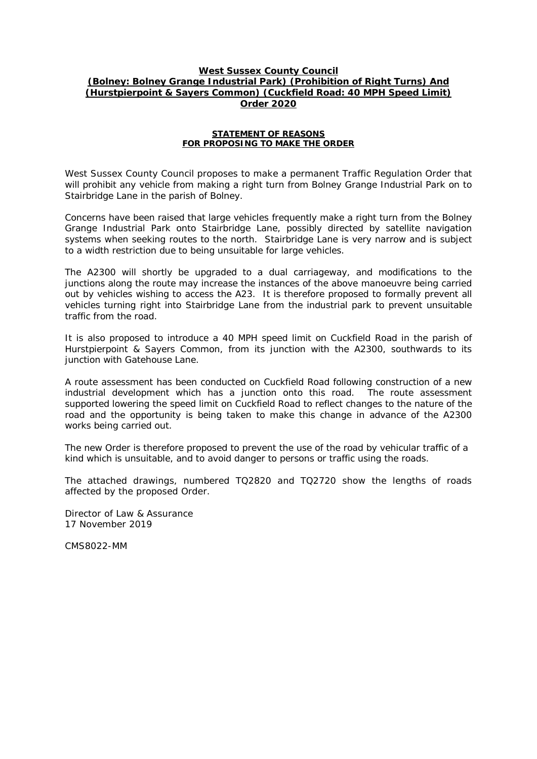## **West Sussex County Council (Bolney: Bolney Grange Industrial Park) (Prohibition of Right Turns) And (Hurstpierpoint & Sayers Common) (Cuckfield Road: 40 MPH Speed Limit) Order 2020**

### **STATEMENT OF REASONS FOR PROPOSING TO MAKE THE ORDER**

West Sussex County Council proposes to make a permanent Traffic Regulation Order that will prohibit any vehicle from making a right turn from Bolney Grange Industrial Park on to Stairbridge Lane in the parish of Bolney.

Concerns have been raised that large vehicles frequently make a right turn from the Bolney Grange Industrial Park onto Stairbridge Lane, possibly directed by satellite navigation systems when seeking routes to the north. Stairbridge Lane is very narrow and is subject to a width restriction due to being unsuitable for large vehicles.

The A2300 will shortly be upgraded to a dual carriageway, and modifications to the junctions along the route may increase the instances of the above manoeuvre being carried out by vehicles wishing to access the A23. It is therefore proposed to formally prevent all vehicles turning right into Stairbridge Lane from the industrial park to prevent unsuitable traffic from the road.

It is also proposed to introduce a 40 MPH speed limit on Cuckfield Road in the parish of Hurstpierpoint & Sayers Common, from its junction with the A2300, southwards to its junction with Gatehouse Lane.

A route assessment has been conducted on Cuckfield Road following construction of a new industrial development which has a junction onto this road. The route assessment supported lowering the speed limit on Cuckfield Road to reflect changes to the nature of the road and the opportunity is being taken to make this change in advance of the A2300 works being carried out.

The new Order is therefore proposed to prevent the use of the road by vehicular traffic of a kind which is unsuitable, and to avoid danger to persons or traffic using the roads.

The attached drawings, numbered TQ2820 and TQ2720 show the lengths of roads affected by the proposed Order.

Director of Law & Assurance 17 November 2019

CMS8022-MM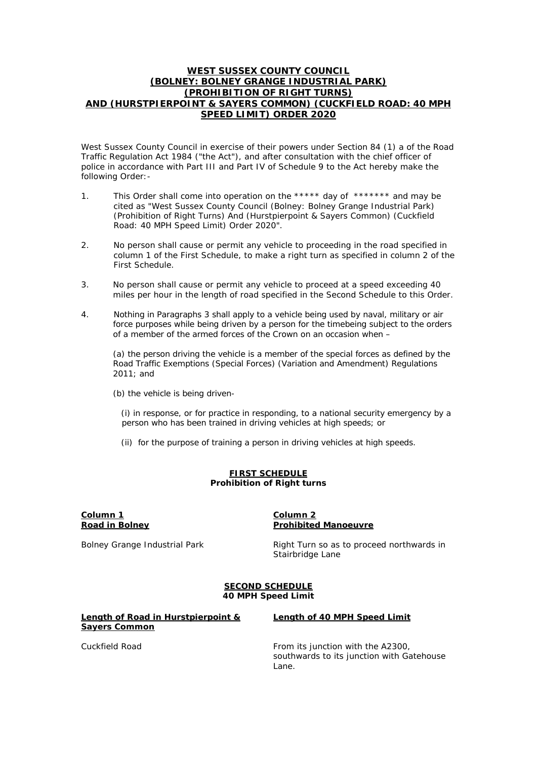### **WEST SUSSEX COUNTY COUNCIL (BOLNEY: BOLNEY GRANGE INDUSTRIAL PARK) (PROHIBITION OF RIGHT TURNS) AND (HURSTPIERPOINT & SAYERS COMMON) (CUCKFIELD ROAD: 40 MPH SPEED LIMIT) ORDER 2020**

West Sussex County Council in exercise of their powers under Section 84 (1) a of the Road Traffic Regulation Act 1984 ("the Act"), and after consultation with the chief officer of police in accordance with Part III and Part IV of Schedule 9 to the Act hereby make the following Order:-

- 1. This Order shall come into operation on the \*\*\*\*\* day of \*\*\*\*\*\*\* and may be cited as "West Sussex County Council (Bolney: Bolney Grange Industrial Park) (Prohibition of Right Turns) And (Hurstpierpoint & Sayers Common) (Cuckfield Road: 40 MPH Speed Limit) Order 2020".
- 2. No person shall cause or permit any vehicle to proceeding in the road specified in column 1 of the First Schedule, to make a right turn as specified in column 2 of the First Schedule.
- 3. No person shall cause or permit any vehicle to proceed at a speed exceeding 40 miles per hour in the length of road specified in the Second Schedule to this Order.
- 4. Nothing in Paragraphs 3 shall apply to a vehicle being used by naval, military or air force purposes while being driven by a person for the timebeing subject to the orders of a member of the armed forces of the Crown on an occasion when –

(a) the person driving the vehicle is a member of the special forces as defined by the Road Traffic Exemptions (Special Forces) (Variation and Amendment) Regulations 2011; and

(b) the vehicle is being driven-

 (i) in response, or for practice in responding, to a national security emergency by a person who has been trained in driving vehicles at high speeds; or

(ii) for the purpose of training a person in driving vehicles at high speeds.

#### **FIRST SCHEDULE Prohibition of Right turns**

#### **Column 1 Road in Bolney**

### **Column 2 Prohibited Manoeuvre**

Bolney Grange Industrial Park **Right Turn so as to proceed northwards in** Stairbridge Lane

#### **SECOND SCHEDULE 40 MPH Speed Limit**

**Length of Road in Hurstpierpoint & Sayers Common**

#### **Length of 40 MPH Speed Limit**

Cuckfield Road **From its junction with the A2300**, southwards to its junction with Gatehouse Lane.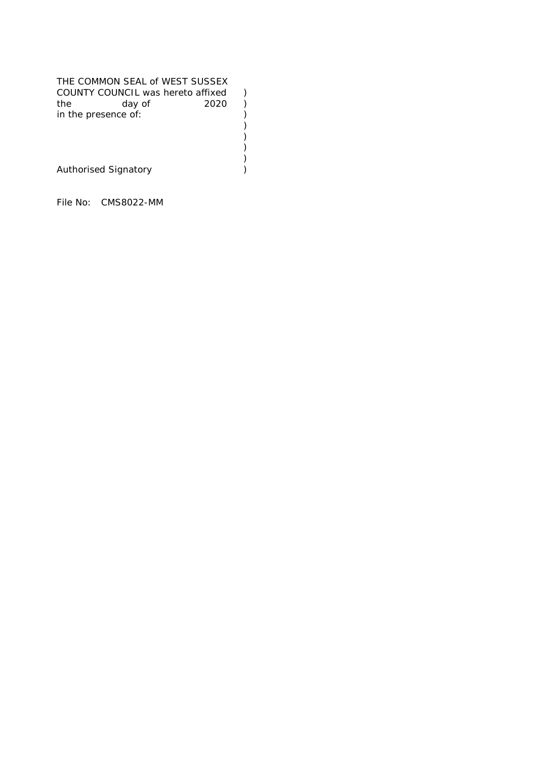| THE COMMON SEAL of WEST SUSSEX<br>COUNTY COUNCIL was hereto affixed<br>2020<br>the<br>day of<br>in the presence of: |  |
|---------------------------------------------------------------------------------------------------------------------|--|
| <b>Authorised Signatory</b>                                                                                         |  |

File No: CMS8022-MM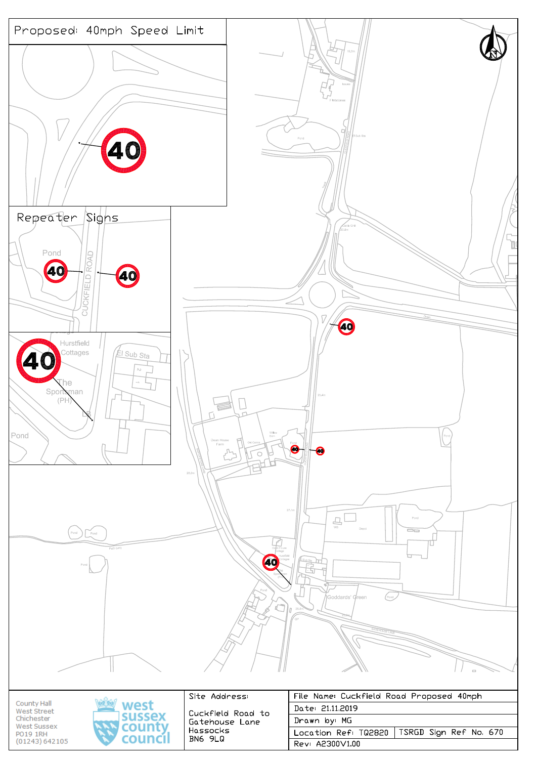